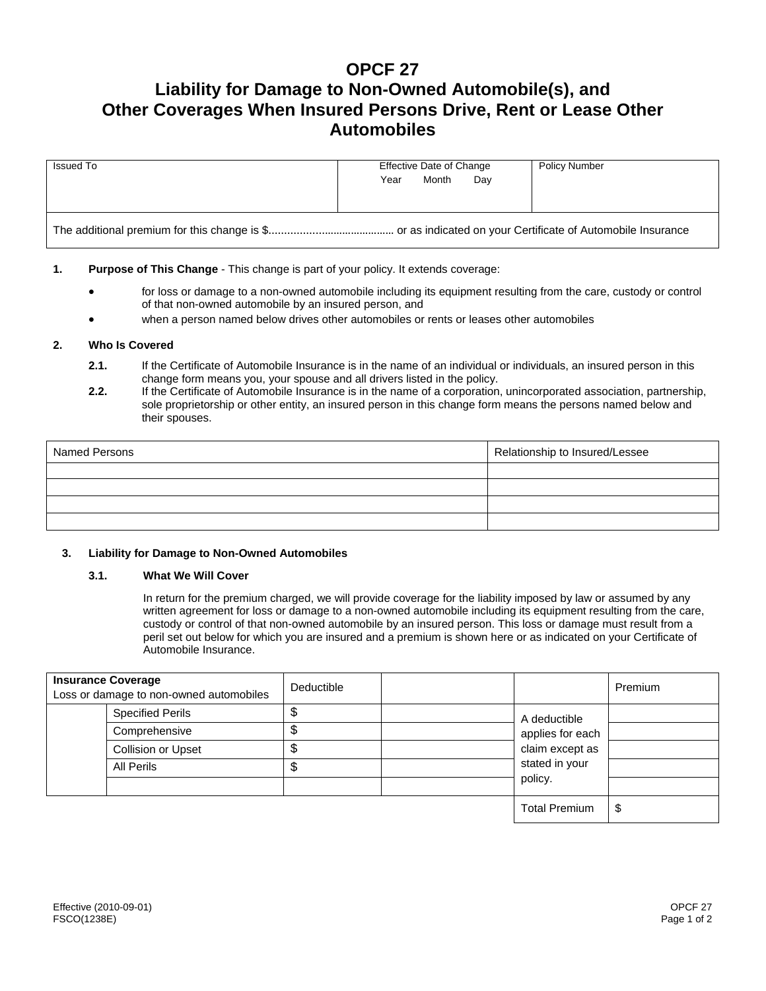# **OPCF 27**

# **Liability for Damage to Non-Owned Automobile(s), and Other Coverages When Insured Persons Drive, Rent or Lease Other Automobiles**

| Issued To | Effective Date of Change | <b>Policy Number</b> |  |  |  |  |  |
|-----------|--------------------------|----------------------|--|--|--|--|--|
|           | Month<br>Year<br>Day     |                      |  |  |  |  |  |
|           |                          |                      |  |  |  |  |  |
|           |                          |                      |  |  |  |  |  |

# **1. Purpose of This Change** - This change is part of your policy. It extends coverage:

- for loss or damage to a non-owned automobile including its equipment resulting from the care, custody or control of that non-owned automobile by an insured person, and
- when a person named below drives other automobiles or rents or leases other automobiles

## **2. Who Is Covered**

- **2.1.** If the Certificate of Automobile Insurance is in the name of an individual or individuals, an insured person in this change form means you, your spouse and all drivers listed in the policy.
- **2.2.** If the Certificate of Automobile Insurance is in the name of a corporation, unincorporated association, partnership, sole proprietorship or other entity, an insured person in this change form means the persons named below and their spouses.

| Named Persons | Relationship to Insured/Lessee |  |  |
|---------------|--------------------------------|--|--|
|               |                                |  |  |
|               |                                |  |  |
|               |                                |  |  |
|               |                                |  |  |

### **3. Liability for Damage to Non-Owned Automobiles**

### **3.1. What We Will Cover**

In return for the premium charged, we will provide coverage for the liability imposed by law or assumed by any written agreement for loss or damage to a non-owned automobile including its equipment resulting from the care, custody or control of that non-owned automobile by an insured person. This loss or damage must result from a peril set out below for which you are insured and a premium is shown here or as indicated on your Certificate of Automobile Insurance.

| <b>Insurance Coverage</b><br>Loss or damage to non-owned automobiles | Deductible |  |                                                                       | Premium |
|----------------------------------------------------------------------|------------|--|-----------------------------------------------------------------------|---------|
| <b>Specified Perils</b>                                              |            |  | A deductible<br>applies for each<br>claim except as<br>stated in your |         |
| Comprehensive                                                        |            |  |                                                                       |         |
| Collision or Upset                                                   |            |  |                                                                       |         |
| All Perils                                                           | ъD         |  |                                                                       |         |
|                                                                      |            |  | policy.                                                               |         |
|                                                                      |            |  | <b>Total Premium</b>                                                  | \$      |